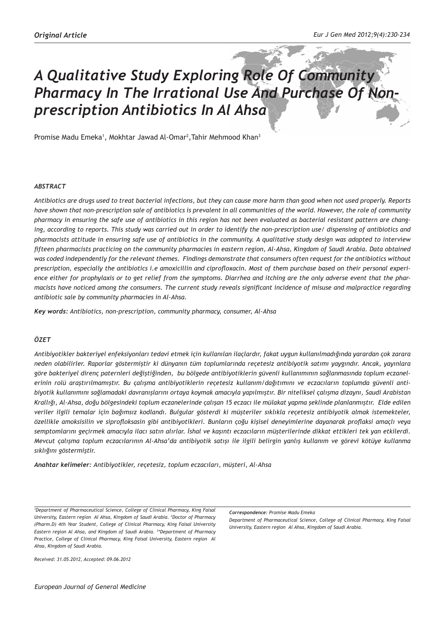# *A Qualitative Study Exploring Role Of Community Pharmacy In The Irrational Use And Purchase Of Nonprescription Antibiotics In Al Ahsa*

Promise Madu Emeka<sup>1</sup>, Mokhtar Jawad Al-Omar<sup>2</sup>,Tahir Mehmood Khan<sup>3</sup>

#### *ABSTRACT*

*Antibiotics are drugs used to treat bacterial infections, but they can cause more harm than good when not used properly. Reports have shown that non-prescription sale of antibiotics is prevalent in all communities of the world. However, the role of community pharmacy in ensuring the safe use of antibiotics in this region has not been evaluated as bacterial resistant pattern are changing, according to reports. This study was carried out in order to identify the non-prescription use/ dispensing of antibiotics and pharmacists attitude in ensuring safe use of antibiotics in the community. A qualitative study design was adopted to interview fifteen pharmacists practicing on the community pharmacies in eastern region, Al-Ahsa, Kingdom of Saudi Arabia. Data obtained was coded independently for the relevant themes. Findings demonstrate that consumers often request for the antibiotics without prescription, especially the antibiotics i.e amoxicillin and ciprofloxacin. Most of them purchase based on their personal experience either for prophylaxis or to get relief from the symptoms. Diarrhea and itching are the only adverse event that the pharmacists have noticed among the consumers. The current study reveals significant incidence of misuse and malpractice regarding antibiotic sale by community pharmacies in Al-Ahsa.* 

*Key words: Antibiotics, non-prescription, community pharmacy, consumer, Al-Ahsa*

#### *ÖZET*

*Antibiyotikler bakteriyel enfeksiyonları tedavi etmek için kullanılan ilaçlardır, fakat uygun kullanılmadığında yarardan çok zarara neden olabilirler. Raporlar göstermiştir ki dünyanın tüm toplumlarında reçetesiz antibiyotik satımı yaygındır. Ancak, yayınlara göre bakteriyel direnç paternleri değiştiğinden, bu bölgede antibiyotiklerin güvenli kullanımının sağlanmasında toplum eczanelerinin rolü araştırılmamıştır. Bu çalışma antibiyotiklerin reçetesiz kullanım/dağıtımını ve eczacıların toplumda güvenli antibiyotik kullanımını sağlamadaki davranışlarını ortaya koymak amacıyla yapılmıştır. Bir niteliksel çalışma dizaynı, Saudi Arabistan Krallığı, Al-Ahsa, doğu bölgesindeki toplum eczanelerinde çalışan 15 eczacı ile mülakat yapma şeklinde planlanmıştır. Elde edilen veriler ilgili temalar için bağımsız kodlandı. Bulgular gösterdi ki müşteriler sıklıkla reçetesiz antibiyotik almak istemekteler, özellikle amoksisilin ve siprofloksasin gibi antibiyotikleri. Bunların çoğu kişisel deneyimlerine dayanarak proflaksi amaçlı veya semptomlarını geçirmek amacıyla ilacı satın alırlar. İshal ve kaşıntı eczacıların müşterilerinde dikkat ettikleri tek yan etkilerdi. Mevcut çalışma toplum eczacılarının Al-Ahsa'da antibiyotik satışı ile ilgili belirgin yanlış kullanım ve görevi kötüye kullanma sıklığını göstermiştir.* 

*Anahtar kelimeler: Antibiyotikler, reçetesiz, toplum eczacıları, müşteri, Al-Ahsa*

*1 Department of Pharmaceutical Science, College of Clinical Pharmacy, King Faisal University, Eastern region Al Ahsa, Kingdom of Saudi Arabia. <sup>2</sup> Doctor of Pharmacy (Pharm.D) 4th Year Student, College of Clinical Pharmacy, King Faisal University Eastern region Al Ahsa, and Kingdom of Saudi Arabia. <sup>3</sup> \*Department of Pharmacy Practice, College of Clinical Pharmacy, King Faisal University, Eastern region Al Ahsa, Kingdom of Saudi Arabia.*

*Received: 31.05.2012, Accepted: 09.06.2012*

*Correspondence: Promise Madu Emeka*

*Department of Pharmaceutical Science, College of Clinical Pharmacy, King Faisal University, Eastern region Al Ahsa, Kingdom of Saudi Arabia.*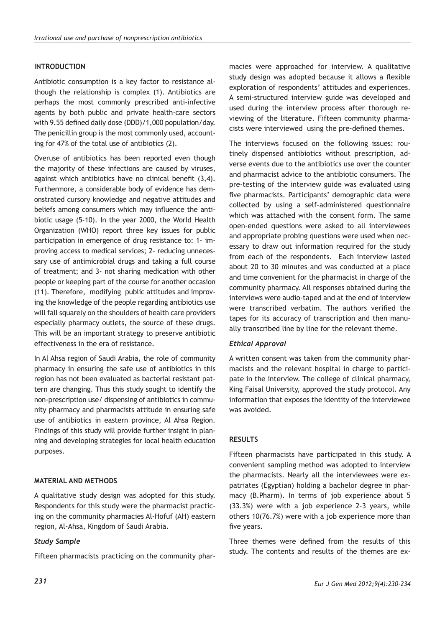# **INTRODUCTION**

Antibiotic consumption is a key factor to resistance although the relationship is complex (1). Antibiotics are perhaps the most commonly prescribed anti-infective agents by both public and private health-care sectors with 9.55 defined daily dose (DDD)/1,000 population/day. The penicillin group is the most commonly used, accounting for 47% of the total use of antibiotics (2).

Overuse of antibiotics has been reported even though the majority of these infections are caused by viruses, against which antibiotics have no clinical benefit (3,4). Furthermore, a considerable body of evidence has demonstrated cursory knowledge and negative attitudes and beliefs among consumers which may influence the antibiotic usage (5-10). In the year 2000, the World Health Organization (WHO) report three key issues for public participation in emergence of drug resistance to: 1- improving access to medical services; 2- reducing unnecessary use of antimicrobial drugs and taking a full course of treatment; and 3- not sharing medication with other people or keeping part of the course for another occasion (11). Therefore, modifying public attitudes and improving the knowledge of the people regarding antibiotics use will fall squarely on the shoulders of health care providers especially pharmacy outlets, the source of these drugs. This will be an important strategy to preserve antibiotic effectiveness in the era of resistance.

In Al Ahsa region of Saudi Arabia, the role of community pharmacy in ensuring the safe use of antibiotics in this region has not been evaluated as bacterial resistant pattern are changing. Thus this study sought to identify the non-prescription use/ dispensing of antibiotics in community pharmacy and pharmacists attitude in ensuring safe use of antibiotics in eastern province, Al Ahsa Region. Findings of this study will provide further insight in planning and developing strategies for local health education purposes.

## **MATERIAL AND METHODS**

A qualitative study design was adopted for this study. Respondents for this study were the pharmacist practicing on the community pharmacies Al-Hofuf (AH) eastern region, Al-Ahsa, Kingdom of Saudi Arabia.

# *Study Sample*

Fifteen pharmacists practicing on the community phar-

macies were approached for interview. A qualitative study design was adopted because it allows a flexible exploration of respondents' attitudes and experiences. A semi-structured interview guide was developed and used during the interview process after thorough reviewing of the literature. Fifteen community pharmacists were interviewed using the pre-defined themes.

The interviews focused on the following issues: routinely dispensed antibiotics without prescription, adverse events due to the antibiotics use over the counter and pharmacist advice to the antibiotic consumers. The pre-testing of the interview guide was evaluated using five pharmacists. Participants' demographic data were collected by using a self-administered questionnaire which was attached with the consent form. The same open-ended questions were asked to all interviewees and appropriate probing questions were used when necessary to draw out information required for the study from each of the respondents. Each interview lasted about 20 to 30 minutes and was conducted at a place and time convenient for the pharmacist in charge of the community pharmacy. All responses obtained during the interviews were audio-taped and at the end of interview were transcribed verbatim. The authors verified the tapes for its accuracy of transcription and then manually transcribed line by line for the relevant theme.

## *Ethical Approval*

A written consent was taken from the community pharmacists and the relevant hospital in charge to participate in the interview. The college of clinical pharmacy, King Faisal University, approved the study protocol. Any information that exposes the identity of the interviewee was avoided.

# **RESULTS**

Fifteen pharmacists have participated in this study. A convenient sampling method was adopted to interview the pharmacists. Nearly all the interviewees were expatriates (Egyptian) holding a bachelor degree in pharmacy (B.Pharm). In terms of job experience about 5 (33.3%) were with a job experience 2-3 years, while others 10(76.7%) were with a job experience more than five years.

Three themes were defined from the results of this study. The contents and results of the themes are ex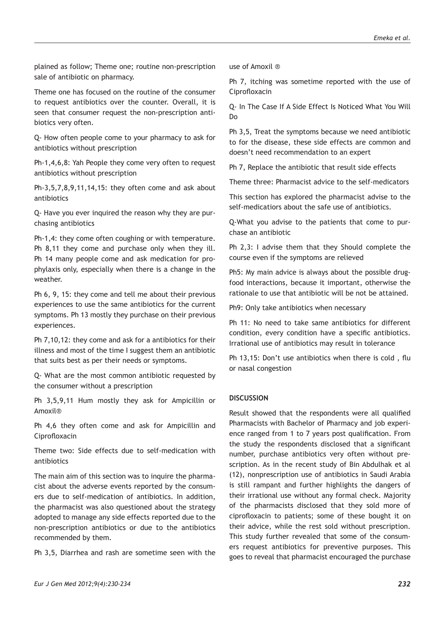plained as follow; Theme one; routine non-prescription sale of antibiotic on pharmacy.

Theme one has focused on the routine of the consumer to request antibiotics over the counter. Overall, it is seen that consumer request the non-prescription antibiotics very often.

Q- How often people come to your pharmacy to ask for antibiotics without prescription

Ph-1,4,6,8: Yah People they come very often to request antibiotics without prescription

Ph-3,5,7,8,9,11,14,15: they often come and ask about antibiotics

Q- Have you ever inquired the reason why they are purchasing antibiotics

Ph-1,4: they come often coughing or with temperature. Ph 8,11 they come and purchase only when they ill. Ph 14 many people come and ask medication for prophylaxis only, especially when there is a change in the weather.

Ph 6, 9, 15: they come and tell me about their previous experiences to use the same antibiotics for the current symptoms. Ph 13 mostly they purchase on their previous experiences.

Ph 7,10,12: they come and ask for a antibiotics for their illness and most of the time I suggest them an antibiotic that suits best as per their needs or symptoms.

Q- What are the most common antibiotic requested by the consumer without a prescription

Ph 3,5,9,11 Hum mostly they ask for Ampicillin or Amoxil®

Ph 4,6 they often come and ask for Ampicillin and Ciprofloxacin

Theme two: Side effects due to self-medication with antibiotics

The main aim of this section was to inquire the pharmacist about the adverse events reported by the consumers due to self-medication of antibiotics. In addition, the pharmacist was also questioned about the strategy adopted to manage any side effects reported due to the non-prescription antibiotics or due to the antibiotics recommended by them.

Ph 3,5, Diarrhea and rash are sometime seen with the

use of Amoxil ®

Ph 7, itching was sometime reported with the use of Ciprofloxacin

Q- In The Case If A Side Effect Is Noticed What You Will Do

Ph 3,5, Treat the symptoms because we need antibiotic to for the disease, these side effects are common and doesn't need recommendation to an expert

Ph 7, Replace the antibiotic that result side effects

Theme three: Pharmacist advice to the self-medicators

This section has explored the pharmacist advise to the self-medicatiors about the safe use of antibiotics.

Q-What you advise to the patients that come to purchase an antibiotic

Ph 2,3: I advise them that they Should complete the course even if the symptoms are relieved

Ph5: My main advice is always about the possible drugfood interactions, because it important, otherwise the rationale to use that antibiotic will be not be attained.

Ph9: Only take antibiotics when necessary

Ph 11: No need to take same antibiotics for different condition, every condition have a specific antibiotics. Irrational use of antibiotics may result in tolerance

Ph 13,15: Don't use antibiotics when there is cold , flu or nasal congestion

## **DISCUSSION**

Result showed that the respondents were all qualified Pharmacists with Bachelor of Pharmacy and job experience ranged from 1 to 7 years post qualification. From the study the respondents disclosed that a significant number, purchase antibiotics very often without prescription. As in the recent study of Bin Abdulhak et al (12), nonprescription use of antibiotics in Saudi Arabia is still rampant and further highlights the dangers of their irrational use without any formal check. Majority of the pharmacists disclosed that they sold more of ciprofloxacin to patients; some of these bought it on their advice, while the rest sold without prescription. This study further revealed that some of the consumers request antibiotics for preventive purposes. This goes to reveal that pharmacist encouraged the purchase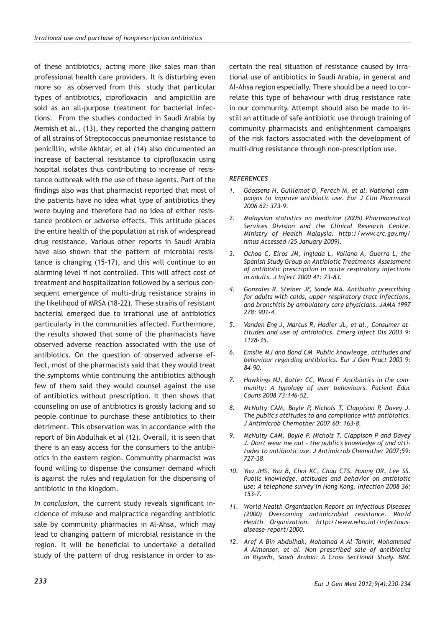of these antibiotics, acting more like sales man than professional health care providers. It is disturbing even more so as observed from this study that particular types of antibiotics, ciprofloxacin and ampicillin are sold as an all-purpose treatment for bacterial infections. From the studies conducted in Saudi Arabia by Memish et al., (13), they reported the changing pattern of all strains of Streptococcus pneumoniae resistance to penicillin, while Akhtar, et al (14) also documented an increase of bacterial resistance to ciprofloxacin using hospital isolates thus contributing to increase of resistance outbreak with the use of these agents. Part of the findings also was that pharmacist reported that most of the patients have no idea what type of antibiotics they were buying and therefore had no idea of either resistance problem or adverse effects. This attitude places the entire health of the population at risk of widespread drug resistance. Various other reports in Saudi Arabia have also shown that the pattern of microbial resistance is changing (15-17), and this will continue to an alarming level if not controlled. This will affect cost of treatment and hospitalization followed by a serious consequent emergence of multi-drug resistance strains in the likelihood of MRSA (18-22). These strains of resistant bacterial emerged due to irrational use of antibiotics particularly in the communities affected. Furthermore, the results showed that some of the pharmacists have observed adverse reaction associated with the use of antibiotics. On the question of observed adverse effect, most of the pharmacists said that they would treat the symptoms while continuing the antibiotics although few of them said they would counsel against the use of antibiotics without prescription. It then shows that counseling on use of antibiotics is grossly lacking and so people continue to purchase these antibiotics to their detriment. This observation was in accordance with the report of Bin Abdulhak et al (12). Overall, it is seen that there is an easy access for the consumers to the antibiotics in the eastern region. Community pharmacist was found willing to dispense the consumer demand which is against the rules and regulation for the dispensing of antibiotic in the kingdom.

*In conclusion,* the current study reveals significant incidence of misuse and malpractice regarding antibiotic sale by community pharmacies in Al-Ahsa, which may lead to changing pattern of microbial resistance in the region. It will be beneficial to undertake a detailed study of the pattern of drug resistance in order to ascertain the real situation of resistance caused by irrational use of antibiotics in Saudi Arabia, in general and Al-Ahsa region especially. There should be a need to correlate this type of behaviour with drug resistance rate in our community. Attempt should also be made to instill an attitude of safe antibiotic use through training of community pharmacists and enlightenment campaigns of the risk factors associated with the development of multi-drug resistance through non-prescription use.

#### *REFERENCES*

- *1. Goossens H, Guillemot D, Ferech M, et al. National campaigns to improve antibiotic use. Eur J Clin Pharmacol 2006 62: 373-9.*
- *2. Malaysian statistics on medicine (2005) Pharmaceutical Services Division and the Clinical Research Centre. Ministry of Health Malaysia. http://www.crc.gov.my/ nmus Accessed (25 January 2009).*
- *3. Ochoa C, Eiros JM, Inglada L, Vallano A, Guerra L, the Spanish Study Group on Antibiotic Treatments Assessment of antibiotic prescription in acute respiratory infections in adults. J Infect 2000 41: 73-83.*
- *4. Gonzales R, Steiner JF, Sande MA. Antibiotic prescribing for adults with colds, upper respiratory tract infections, and bronchitis by ambulatory care physicians. JAMA 1997 278: 901-4.*
- *5. Vanden Eng J, Marcus R, Hadler JL, et al., Consumer attitudes and use of antibiotics. Emerg Infect Dis 2003 9: 1128-35.*
- *6. Emslie MJ and Bond CM Public knowledge, attitudes and behaviour regarding antibiotics. Eur J Gen Pract 2003 9: 84-90.*
- *7. Hawkings NJ, Butler CC, Wood F Antibiotics in the community: A typology of user behaviours. Patient Educ Couns 2008 73:146-52.*
- *8. McNulty CAM, Boyle P, Nichols T, Clappison P, Davey J. The public's attitudes to and compliance with antibiotics. J Antimicrob Chemother 2007 60: 163-8.*
- *9. McNulty CAM, Boyle P, Nichols T, Clappison P and Davey J. Don't wear me out - the public's knowledge of and attitudes to antibiotic use. J Antimicrob Chemother 2007;59: 727-38.*
- *10. You JHS, Yau B, Choi KC, Chau CTS, Huang OR, Lee SS. Public knowledge, attitudes and behavior on antibiotic use: A telephone survey in Hong Kong. Infection 2008 36: 153-7.*
- *11. World Health Organization Report on Infectious Diseases (2000) Overcoming antimicrobial resistance. World Health Organization. http://www.who.int/infectiousdisease-report/2000.*
- *12. Aref A Bin Abdulhak, Mohamad A Al Tannir, Mohammed A Almansor, et al. Non prescribed sale of antibiotics in Riyadh, Saudi Arabia: A Cross Sectional Study. BMC*